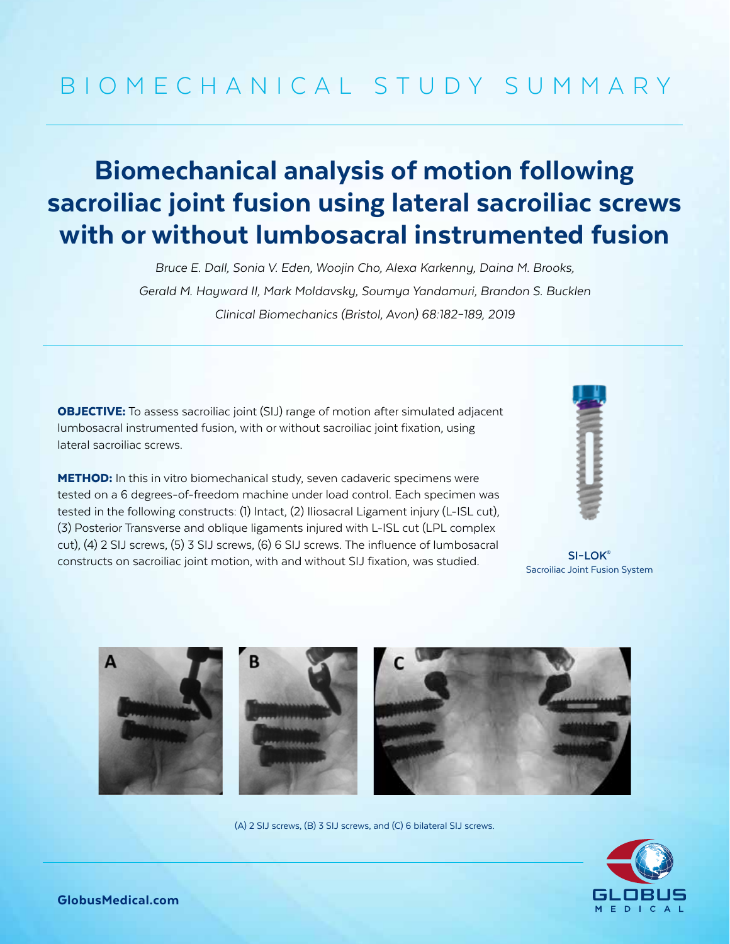## BIOMECHANICAL STUDY SUMMARY

## Biomechanical analysis of motion following sacroiliac joint fusion using lateral sacroiliac screws with or without lumbosacral instrumented fusion

*Bruce E. Dall, Sonia V. Eden, Woojin Cho, Alexa Karkenny, Daina M. Brooks, Gerald M. Hayward II, Mark Moldavsky, Soumya Yandamuri, Brandon S. Bucklen Clinical Biomechanics (Bristol, Avon) 68:182–189, 2019*

**OBJECTIVE:** To assess sacroiliac joint (SIJ) range of motion after simulated adjacent lumbosacral instrumented fusion, with or without sacroiliac joint fixation, using lateral sacroiliac screws.

**METHOD:** In this in vitro biomechanical study, seven cadaveric specimens were tested on a 6 degrees-of-freedom machine under load control. Each specimen was tested in the following constructs: (1) Intact, (2) Iliosacral Ligament injury (L-ISL cut), (3) Posterior Transverse and oblique ligaments injured with L-ISL cut (LPL complex cut), (4) 2 SIJ screws, (5) 3 SIJ screws, (6) 6 SIJ screws. The influence of lumbosacral constructs on sacroiliac joint motion, with and without SIJ fixation, was studied.



**SI–LOK®** Sacroiliac Joint Fusion System



(A) 2 SIJ screws, (B) 3 SIJ screws, and (C) 6 bilateral SIJ screws.